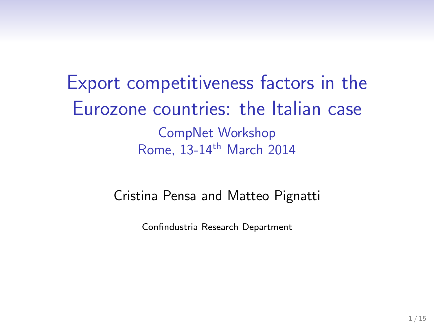Export competitiveness factors in the Eurozone countries: the Italian case CompNet Workshop Rome, 13-14th March 2014

#### Cristina Pensa and Matteo Pignatti

Confindustria Research Department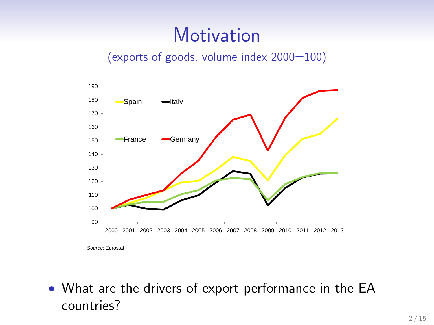### **Motivation**

#### (exports of goods, volume index 2000=100)



• What are the drivers of export performance in the EA countries?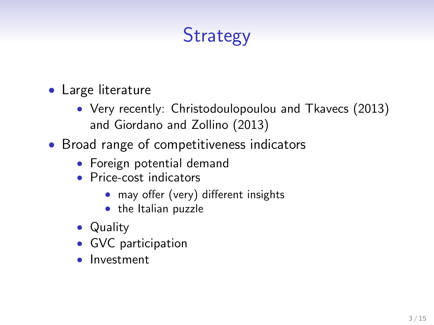# **Strategy**

- Large literature
	- Very recently: Christodoulopoulou and Tkavecs (2013) and Giordano and Zollino (2013)
- Broad range of competitiveness indicators
	- Foreign potential demand
	- Price-cost indicators
		- may offer (very) different insights
		- the Italian puzzle
	- Quality
	- GVC participation
	- Investment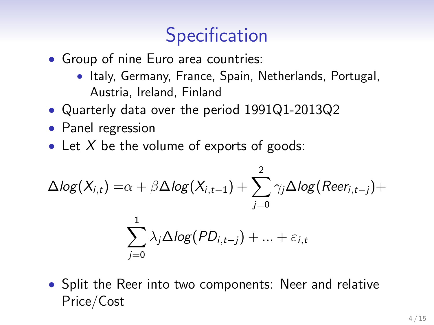### **Specification**

- Group of nine Euro area countries:
	- Italy, Germany, France, Spain, Netherlands, Portugal, Austria, Ireland, Finland
- Quarterly data over the period 1991Q1-2013Q2
- Panel regression
- Let  $X$  be the volume of exports of goods:

$$
\Delta log(X_{i,t}) = \alpha + \beta \Delta log(X_{i,t-1}) + \sum_{j=0}^{2} \gamma_j \Delta log(Rec_{i,t-j}) + \sum_{j=0}^{1} \lambda_j \Delta log(PD_{i,t-j}) + ... + \varepsilon_{i,t}
$$

• Split the Reer into two components: Neer and relative Price/Cost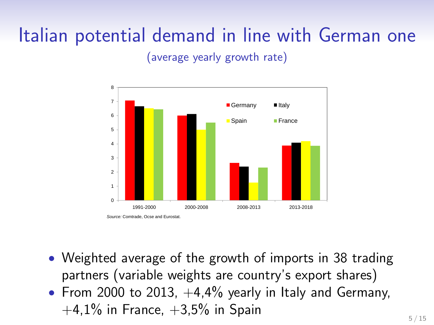# Italian potential demand in line with German one

(average yearly growth rate)



- Weighted average of the growth of imports in 38 trading partners (variable weights are country's export shares)
- From 2000 to 2013,  $+4,4\%$  yearly in Italy and Germany,  $+4.1\%$  in France,  $+3.5\%$  in Spain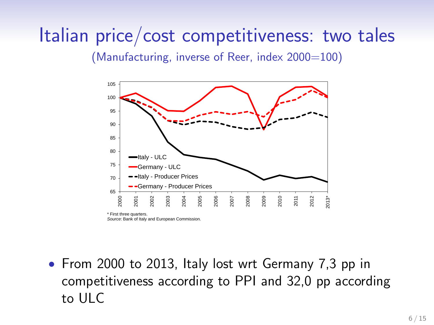# Italian price/cost competitiveness: two tales

(Manufacturing, inverse of Reer, index  $2000=100$ )



• From 2000 to 2013, Italy lost wrt Germany 7,3 pp in competitiveness according to PPI and 32,0 pp according to ULC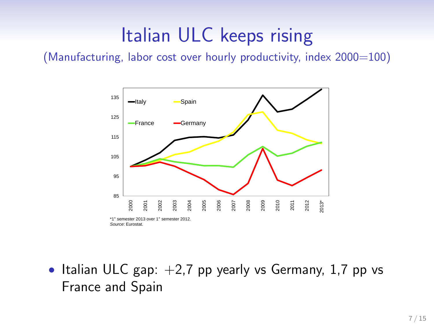# Italian ULC keeps rising

(Manufacturing, labor cost over hourly productivity, index  $2000=100$ )



• Italian ULC gap:  $+2,7$  pp yearly vs Germany, 1,7 pp vs France and Spain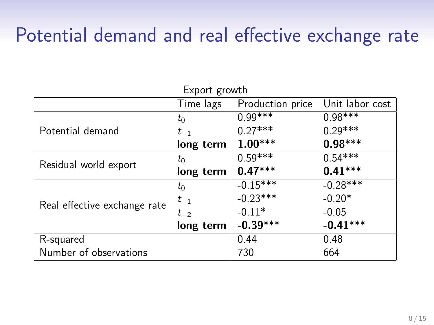### Potential demand and real effective exchange rate

Export growth

|                              | Export growth                   |                  |                 |
|------------------------------|---------------------------------|------------------|-----------------|
|                              | Time lags                       | Production price | Unit labor cost |
|                              | $t_0$                           | $0.99***$        | $0.98***$       |
| Potential demand             | $t_{-1}$                        | $0.27***$        | $0.29***$       |
|                              | long term                       | $1.00***$        | $0.98***$       |
|                              | $t_0$                           | $0.59***$        | $0.54***$       |
| Residual world export        | long term                       | $0.47***$        | $0.41***$       |
|                              | $t_0$                           | $-0.15***$       | $-0.28***$      |
| $t_{-1}$                     |                                 | $-0.23***$       | $-0.20*$        |
| Real effective exchange rate | $-0.11*$<br>$-0.05$<br>$t_{-2}$ |                  |                 |
|                              | long term                       | $-0.39***$       | $-0.41***$      |
| R-squared                    |                                 | 0.44             | 0.48            |
| Number of observations       |                                 | 730              | 664             |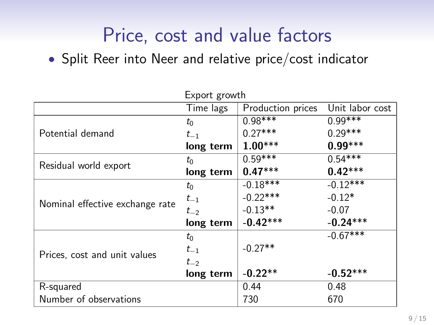# Price, cost and value factors

• Split Reer into Neer and relative price/cost indicator

|                                 | Export growth          |                   |                 |  |
|---------------------------------|------------------------|-------------------|-----------------|--|
|                                 | Time lags              | Production prices | Unit labor cost |  |
|                                 | $t_0$                  | $0.98***$         | $0.99***$       |  |
| Potential demand                | $t_{-1}$               | $0.27***$         | $0.29***$       |  |
|                                 | long term              | $1.00***$         | $0.99***$       |  |
|                                 | $t_0$                  | $0.59***$         | $0.54***$       |  |
| Residual world export           | long term              | $0.47***$         | $0.42***$       |  |
|                                 | $t_0$                  | $-0.18***$        | $-0.12***$      |  |
|                                 | $-0.22***$<br>$t_{-1}$ | $-0.12*$          |                 |  |
| Nominal effective exchange rate | $t_{-2}$               | $-0.13**$         | $-0.07$         |  |
|                                 | long term              | $-0.42***$        | $-0.24***$      |  |
|                                 | $t_0$                  |                   | $-0.67***$      |  |
| Prices, cost and unit values    | $t_{-1}$               | $-0.27**$         |                 |  |
|                                 | $t_{-2}$               |                   |                 |  |
|                                 | long term              | $-0.22**$         | $-0.52***$      |  |
| R-squared                       |                        | 0.44              | 0.48            |  |
| Number of observations          |                        | 730               | 670             |  |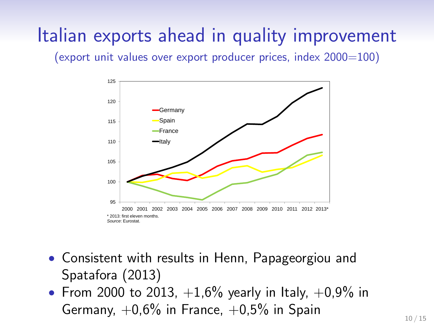# Italian exports ahead in quality improvement

(export unit values over export producer prices, index 2000=100)



- Consistent with results in Henn, Papageorgiou and Spatafora (2013)
- From 2000 to 2013,  $+1,6\%$  yearly in Italy,  $+0,9\%$  in Germany,  $+0.6\%$  in France,  $+0.5\%$  in Spain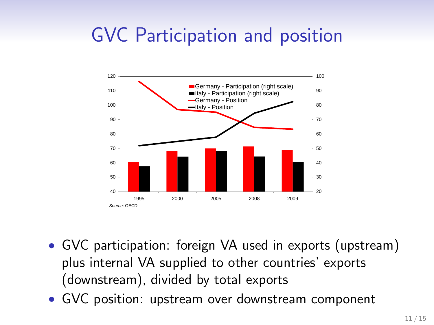# GVC Participation and position



- GVC participation: foreign VA used in exports (upstream) plus internal VA supplied to other countries' exports (downstream), divided by total exports
- GVC position: upstream over downstream component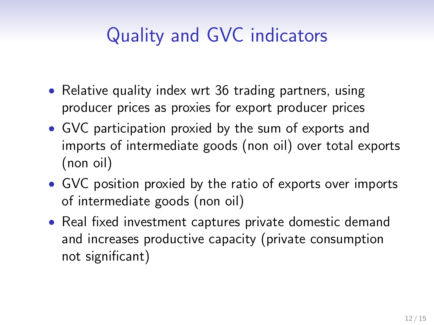# Quality and GVC indicators

- Relative quality index wrt 36 trading partners, using producer prices as proxies for export producer prices
- GVC participation proxied by the sum of exports and imports of intermediate goods (non oil) over total exports (non oil)
- GVC position proxied by the ratio of exports over imports of intermediate goods (non oil)
- Real fixed investment captures private domestic demand and increases productive capacity (private consumption not significant)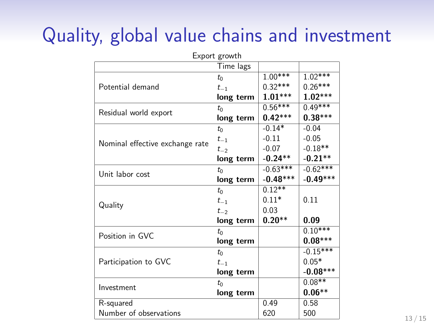# Quality, global value chains and investment

| Export growth                   |           |            |            |  |
|---------------------------------|-----------|------------|------------|--|
|                                 | Time lags |            |            |  |
| Potential demand                | $t_0$     | $1.00***$  | $1.02***$  |  |
|                                 | $t_{-1}$  | $0.32***$  | $0.26***$  |  |
|                                 | long term | $1.01***$  | $1.02***$  |  |
| Residual world export           | $t_0$     | $0.56***$  | $0.49***$  |  |
|                                 | long term | $0.42***$  | $0.38***$  |  |
| Nominal effective exchange rate | $t_0$     | $-0.14*$   | $-0.04$    |  |
|                                 | $t_{-1}$  | $-0.11$    | $-0.05$    |  |
|                                 | $t_{-2}$  | $-0.07$    | $-0.18**$  |  |
|                                 | long term | $-0.24**$  | $-0.21**$  |  |
| Unit labor cost                 | $t_0$     | $-0.63***$ | $-0.62***$ |  |
|                                 | long term | $-0.48***$ | $-0.49***$ |  |
|                                 | $t_0$     | $0.12***$  |            |  |
| Quality                         | $t_{-1}$  | $0.11*$    | 0.11       |  |
|                                 | $t_{-2}$  | 0.03       |            |  |
|                                 | long term | $0.20**$   | 0.09       |  |
| Position in GVC                 | $t_0$     |            | $0.10***$  |  |
|                                 | long term |            | $0.08***$  |  |
| Participation to GVC            | $t_0$     |            | $-0.15***$ |  |
|                                 | $t_{-1}$  |            | $0.05*$    |  |
|                                 | long term |            | $-0.08***$ |  |
|                                 | $t_0$     |            | $0.08**$   |  |
| Investment                      | long term |            | $0.06**$   |  |
| R-squared                       |           | 0.49       | 0.58       |  |
| Number of observations          |           | 620        | 500        |  |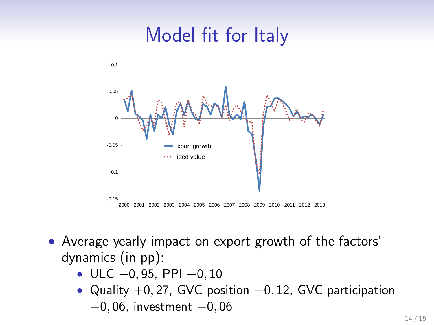# Model fit for Italy



- Average yearly impact on export growth of the factors' dynamics (in pp):
	- ULC  $-0, 95, PPI +0, 10$
	- Quality  $+0$ , 27, GVC position  $+0$ , 12, GVC participation −0, 06, investment −0, 06